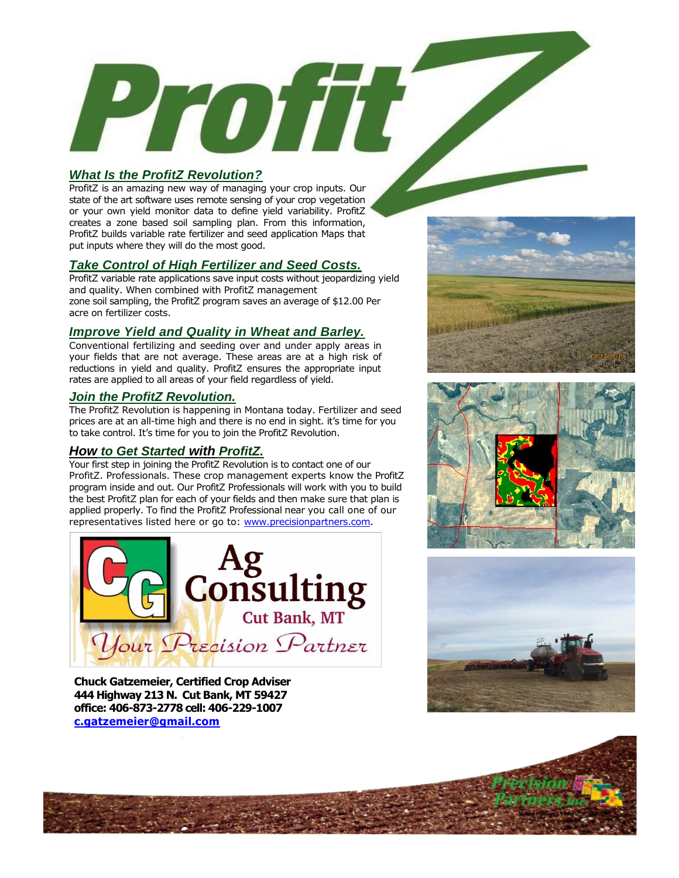# *What Is the ProfitZ Revolution?*

ProfitZ is an amazing new way of managing your crop inputs. Our state of the art software uses remote sensing of your crop vegetation or your own yield monitor data to define yield variability. ProfitZ creates a zone based soil sampling plan. From this information, ProfitZ builds variable rate fertilizer and seed application Maps that put inputs where they will do the most good.

Proiti

## *Take Control of High Fertilizer and Seed Costs.*

ProfitZ variable rate applications save input costs without jeopardizing yield and quality. When combined with ProfitZ management zone soil sampling, the ProfitZ program saves an average of \$12.00 Per acre on fertilizer costs.

## *Improve Yield and Quality in Wheat and Barley.*

Conventional fertilizing and seeding over and under apply areas in your fields that are not average. These areas are at a high risk of reductions in yield and quality. ProfitZ ensures the appropriate input rates are applied to all areas of your field regardless of yield.

### *Join the ProfitZ Revolution.*

The ProfitZ Revolution is happening in Montana today. Fertilizer and seed prices are at an all-time high and there is no end in sight. it's time for you to take control. It's time for you to join the ProfitZ Revolution.

## *How to Get Started with ProfitZ.*

Your first step in joining the ProfitZ Revolution is to contact one of our ProfitZ. Professionals. These crop management experts know the ProfitZ program inside and out. Our ProfitZ Professionals will work with you to build the best ProfitZ plan for each of your fields and then make sure that plan is applied properly. To find the ProfitZ Professional near you call one of our representatives listed here or go to: [www.precisionpartners.com.](http://www.precisionpartners.com/)



**Chuck Gatzemeier, Certified Crop Adviser 444 Highway 213 N. Cut Bank, MT 59427 office: 406-873-2778 cell: 406-229-1007 [c.gatzemeier@gmail.com](mailto:c.gatzemeier@gmail.com)**